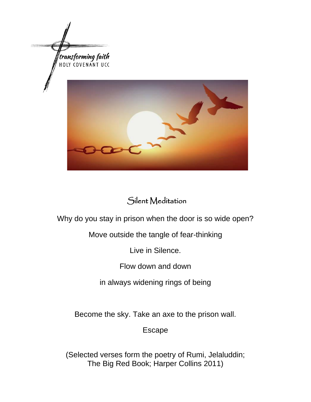

# Silent Meditation

Why do you stay in prison when the door is so wide open?

Move outside the tangle of fear-thinking

Live in Silence.

Flow down and down

in always widening rings of being

Become the sky. Take an axe to the prison wall.

Escape

*(Selected verses form the poetry of Rumi, Jelaluddin; The Big Red Book; Harper Collins 2011)*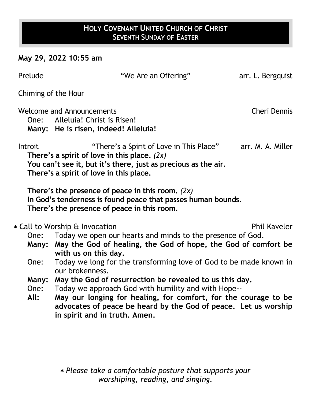## **HOLY COVENANT UNITED CHURCH OF CHRIST SEVENTH SUNDAY OF EASTER**

# **May 29, 2022 10:55 am**

| Prelude                                                                                                                                                                                                                                        | "We Are an Offering"                                                                                 | arr. L. Bergquist   |  |  |
|------------------------------------------------------------------------------------------------------------------------------------------------------------------------------------------------------------------------------------------------|------------------------------------------------------------------------------------------------------|---------------------|--|--|
| Chiming of the Hour                                                                                                                                                                                                                            |                                                                                                      |                     |  |  |
|                                                                                                                                                                                                                                                | Welcome and Announcements<br>One: Alleluia! Christ is Risen!<br>Many: He is risen, indeed! Alleluia! | <b>Cheri Dennis</b> |  |  |
| "There's a Spirit of Love in This Place"<br>arr. M. A. Miller<br><b>Introit</b><br>There's a spirit of love in this place. $(2x)$<br>You can't see it, but it's there, just as precious as the air.<br>There's a spirit of love in this place. |                                                                                                      |                     |  |  |
| There's the presence of peace in this room. $(2x)$<br>In God's tenderness is found peace that passes human bounds.<br>There's the presence of peace in this room.                                                                              |                                                                                                      |                     |  |  |
|                                                                                                                                                                                                                                                | * Call to Worship & Invocation                                                                       | Phil Kaveler        |  |  |
| Today we open our hearts and minds to the presence of God.<br>One:                                                                                                                                                                             |                                                                                                      |                     |  |  |
| May the God of healing, the God of hope, the God of comfort be<br><b>Many:</b><br>with us on this day.                                                                                                                                         |                                                                                                      |                     |  |  |
| One:                                                                                                                                                                                                                                           | Today we long for the transforming love of God to be made known in<br>our brokenness.                |                     |  |  |
| Many:                                                                                                                                                                                                                                          | May the God of resurrection be revealed to us this day.                                              |                     |  |  |
| One:                                                                                                                                                                                                                                           | Today we approach God with humility and with Hope--                                                  |                     |  |  |
| All:                                                                                                                                                                                                                                           | May our longing for healing, for comfort, for the courage to be                                      |                     |  |  |
| advocates of peace be heard by the God of peace. Let us worship                                                                                                                                                                                |                                                                                                      |                     |  |  |
|                                                                                                                                                                                                                                                | in spirit and in truth. Amen.                                                                        |                     |  |  |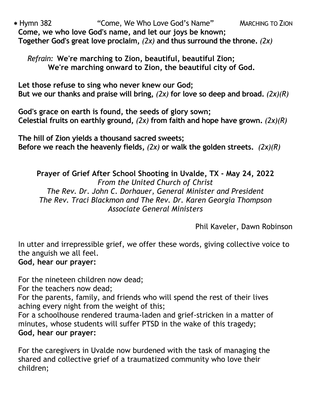Hymn 382 "Come, We Who Love God's Name" MARCHING TO ZION **Come, we who love God's name, and let our joys be known; Together God's great love proclaim,** *(2x)* **and thus surround the throne.** *(2x)*

*Refrain:* **We're marching to Zion, beautiful, beautiful Zion; We're marching onward to Zion, the beautiful city of God.**

**Let those refuse to sing who never knew our God; But we our thanks and praise will bring,** *(2x)* **for love so deep and broad.** *(2x)(R)*

**God's grace on earth is found, the seeds of glory sown; Celestial fruits on earthly ground,** *(2x)* **from faith and hope have grown.** *(2x)(R)*

**The hill of Zion yields a thousand sacred sweets; Before we reach the heavenly fields,** *(2x)* **or walk the golden streets.** *(2x)(R)*

**Prayer of Grief After School Shooting in Uvalde, TX - May 24, 2022** *From the United Church of Christ The Rev. Dr. John C. Dorhauer, General Minister and President The Rev. Traci Blackmon and The Rev. Dr. Karen Georgia Thompson Associate General Ministers*

Phil Kaveler, Dawn Robinson

In utter and irrepressible grief, we offer these words, giving collective voice to the anguish we all feel. **God, hear our prayer:**

For the nineteen children now dead;

For the teachers now dead;

For the parents, family, and friends who will spend the rest of their lives aching every night from the weight of this;

For a schoolhouse rendered trauma-laden and grief-stricken in a matter of minutes, whose students will suffer PTSD in the wake of this tragedy; **God, hear our prayer:**

For the caregivers in Uvalde now burdened with the task of managing the shared and collective grief of a traumatized community who love their children;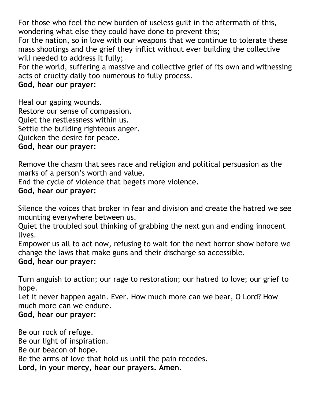For those who feel the new burden of useless guilt in the aftermath of this, wondering what else they could have done to prevent this;

For the nation, so in love with our weapons that we continue to tolerate these mass shootings and the grief they inflict without ever building the collective will needed to address it fully;

For the world, suffering a massive and collective grief of its own and witnessing acts of cruelty daily too numerous to fully process.

**God, hear our prayer:**

Heal our gaping wounds. Restore our sense of compassion. Quiet the restlessness within us. Settle the building righteous anger. Quicken the desire for peace. **God, hear our prayer:**

Remove the chasm that sees race and religion and political persuasion as the marks of a person's worth and value.

End the cycle of violence that begets more violence.

#### **God, hear our prayer:**

Silence the voices that broker in fear and division and create the hatred we see mounting everywhere between us.

Quiet the troubled soul thinking of grabbing the next gun and ending innocent lives.

Empower us all to act now, refusing to wait for the next horror show before we change the laws that make guns and their discharge so accessible. **God, hear our prayer:**

Turn anguish to action; our rage to restoration; our hatred to love; our grief to

hope. Let it never happen again. Ever. How much more can we bear, O Lord? How

much more can we endure.

#### **God, hear our prayer:**

Be our rock of refuge. Be our light of inspiration. Be our beacon of hope. Be the arms of love that hold us until the pain recedes. **Lord, in your mercy, hear our prayers. Amen.**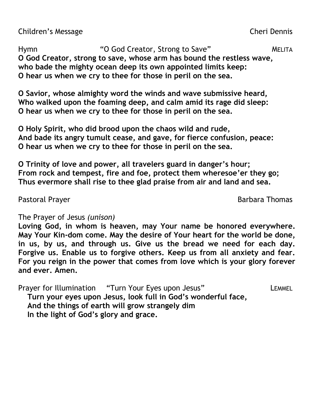Children's Message Children's Message Cheri Dennis

Hymn 
<sup>"O God Creator, Strong to Save"
MELITA</sup> **O God Creator, strong to save, whose arm has bound the restless wave, who bade the mighty ocean deep its own appointed limits keep: O hear us when we cry to thee for those in peril on the sea.**

**O Savior, whose almighty word the winds and wave submissive heard, Who walked upon the foaming deep, and calm amid its rage did sleep: O hear us when we cry to thee for those in peril on the sea.**

**O Holy Spirit, who did brood upon the chaos wild and rude, And bade its angry tumult cease, and gave, for fierce confusion, peace: O hear us when we cry to thee for those in peril on the sea.**

**O Trinity of love and power, all travelers guard in danger's hour; From rock and tempest, fire and foe, protect them wheresoe'er they go; Thus evermore shall rise to thee glad praise from air and land and sea.**

Pastoral Prayer **Barbara Thomas** Pastoral Prayer

The Prayer of Jesus *(unison)*

**Loving God, in whom is heaven, may Your name be honored everywhere. May Your Kin-dom come. May the desire of Your heart for the world be done, in us, by us, and through us. Give us the bread we need for each day. Forgive us. Enable us to forgive others. Keep us from all anxiety and fear. For you reign in the power that comes from love which is your glory forever and ever. Amen.**

Prayer for Illumination "Turn Your Eyes upon Jesus" LEMMEL **Turn your eyes upon Jesus, look full in God's wonderful face, And the things of earth will grow strangely dim In the light of God's glory and grace.**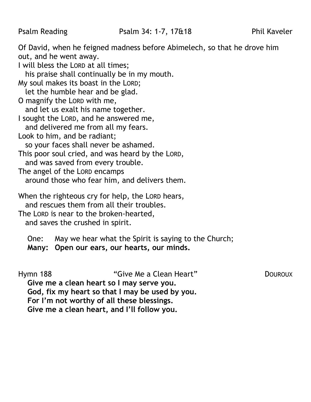Of David, when he feigned madness before Abimelech, so that he drove him out, and he went away. I will bless the LORD at all times; his praise shall continually be in my mouth. My soul makes its boast in the LORD; let the humble hear and be glad. O magnify the LORD with me, and let us exalt his name together. I sought the LORD, and he answered me, and delivered me from all my fears. Look to him, and be radiant; so your faces shall never be ashamed. This poor soul cried, and was heard by the LORD, and was saved from every trouble. The angel of the LORD encamps around those who fear him, and delivers them. When the righteous cry for help, the LORD hears, and rescues them from all their troubles. The LORD is near to the broken-hearted, and saves the crushed in spirit.

One: May we hear what the Spirit is saying to the Church; **Many: Open our ears, our hearts, our minds.**

| <b>Hymn 188</b> | "Give Me a Clean Heart"                         | <b>DOUROUX</b> |
|-----------------|-------------------------------------------------|----------------|
|                 | Give me a clean heart so I may serve you.       |                |
|                 | God, fix my heart so that I may be used by you. |                |
|                 | For I'm not worthy of all these blessings.      |                |
|                 | Give me a clean heart, and I'll follow you.     |                |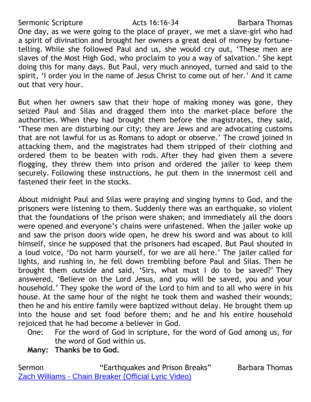Sermonic Scripture **Acts 16:16-34** Barbara Thomas

One day, as we were going to the place of prayer, we met a slave-girl who had a spirit of divination and brought her owners a great deal of money by fortunetelling. While she followed Paul and us, she would cry out, 'These men are slaves of the Most High God, who proclaim to you a way of salvation.' She kept doing this for many days. But Paul, very much annoyed, turned and said to the spirit, 'I order you in the name of Jesus Christ to come out of her.' And it came out that very hour.

But when her owners saw that their hope of making money was gone, they seized Paul and Silas and dragged them into the market-place before the authorities. When they had brought them before the magistrates, they said, 'These men are disturbing our city; they are Jews and are advocating customs that are not lawful for us as Romans to adopt or observe.' The crowd joined in attacking them, and the magistrates had them stripped of their clothing and ordered them to be beaten with rods. After they had given them a severe flogging, they threw them into prison and ordered the jailer to keep them securely. Following these instructions, he put them in the innermost cell and fastened their feet in the stocks.

About midnight Paul and Silas were praying and singing hymns to God, and the prisoners were listening to them. Suddenly there was an earthquake, so violent that the foundations of the prison were shaken; and immediately all the doors were opened and everyone's chains were unfastened. When the jailer woke up and saw the prison doors wide open, he drew his sword and was about to kill himself, since he supposed that the prisoners had escaped. But Paul shouted in a loud voice, 'Do not harm yourself, for we are all here.' The jailer called for lights, and rushing in, he fell down trembling before Paul and Silas. Then he brought them outside and said, 'Sirs, what must I do to be saved?' They answered, 'Believe on the Lord Jesus, and you will be saved, you and your household.' They spoke the word of the Lord to him and to all who were in his house. At the same hour of the night he took them and washed their wounds; then he and his entire family were baptized without delay. He brought them up into the house and set food before them; and he and his entire household rejoiced that he had become a believer in God.

One: For the word of God in scripture, for the word of God among us, for the word of God within us.

**Many: Thanks be to God.**

Sermon **"Earthquakes and Prison Breaks"** Barbara Thomas Zach Williams - [Chain Breaker \(Official Lyric Video\)](https://www.youtube.com/watch?v=JGYjKR69M6U)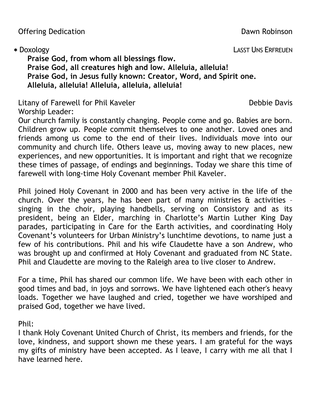Offering Dedication **Dawn Robinson** Dawn Robinson

Doxology LASST UNS ERFREUEN

**Praise God, from whom all blessings flow. Praise God, all creatures high and low. Alleluia, alleluia! Praise God, in Jesus fully known: Creator, Word, and Spirit one. Alleluia, alleluia! Alleluia, alleluia, alleluia!**

Litany of Farewell for Phil Kaveler **Debbie Davis** Debbie Davis Worship Leader:

Our church family is constantly changing. People come and go. Babies are born. Children grow up. People commit themselves to one another. Loved ones and friends among us come to the end of their lives. Individuals move into our community and church life. Others leave us, moving away to new places, new experiences, and new opportunities. It is important and right that we recognize these times of passage, of endings and beginnings. Today we share this time of farewell with long-time Holy Covenant member Phil Kaveler.

Phil joined Holy Covenant in 2000 and has been very active in the life of the church. Over the years, he has been part of many ministries & activities – singing in the choir, playing handbells, serving on Consistory and as its president, being an Elder, marching in Charlotte's Martin Luther King Day parades, participating in Care for the Earth activities, and coordinating Holy Covenant's volunteers for Urban Ministry's lunchtime devotions, to name just a few of his contributions. Phil and his wife Claudette have a son Andrew, who was brought up and confirmed at Holy Covenant and graduated from NC State. Phil and Claudette are moving to the Raleigh area to live closer to Andrew.

For a time, Phil has shared our common life. We have been with each other in good times and bad, in joys and sorrows. We have lightened each other's heavy loads. Together we have laughed and cried, together we have worshiped and praised God, together we have lived.

Phil:

I thank Holy Covenant United Church of Christ, its members and friends, for the love, kindness, and support shown me these years. I am grateful for the ways my gifts of ministry have been accepted. As I leave, I carry with me all that I have learned here.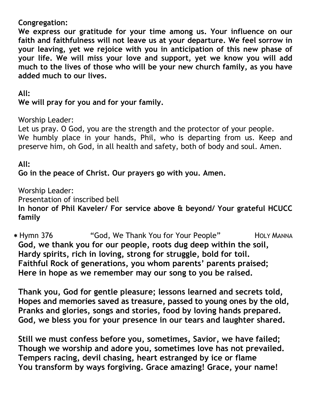#### **Congregation:**

**We express our gratitude for your time among us. Your influence on our faith and faithfulness will not leave us at your departure. We feel sorrow in your leaving, yet we rejoice with you in anticipation of this new phase of your life. We will miss your love and support, yet we know you will add much to the lives of those who will be your new church family, as you have added much to our lives.**

# **All:**

**We will pray for you and for your family.**

Worship Leader:

Let us pray. O God, you are the strength and the protector of your people. We humbly place in your hands, Phil, who is departing from us. Keep and preserve him, oh God, in all health and safety, both of body and soul. Amen.

# **All:**

**Go in the peace of Christ. Our prayers go with you. Amen.**

Worship Leader: Presentation of inscribed bell **In honor of Phil Kaveler/ For service above & beyond/ Your grateful HCUCC family**

 Hymn 376 "God, We Thank You for Your People" HOLY MANNA **God, we thank you for our people, roots dug deep within the soil, Hardy spirits, rich in loving, strong for struggle, bold for toil. Faithful Rock of generations, you whom parents' parents praised; Here in hope as we remember may our song to you be raised.**

**Thank you, God for gentle pleasure; lessons learned and secrets told, Hopes and memories saved as treasure, passed to young ones by the old, Pranks and glories, songs and stories, food by loving hands prepared. God, we bless you for your presence in our tears and laughter shared.**

**Still we must confess before you, sometimes, Savior, we have failed; Though we worship and adore you, sometimes love has not prevailed. Tempers racing, devil chasing, heart estranged by ice or flame You transform by ways forgiving. Grace amazing! Grace, your name!**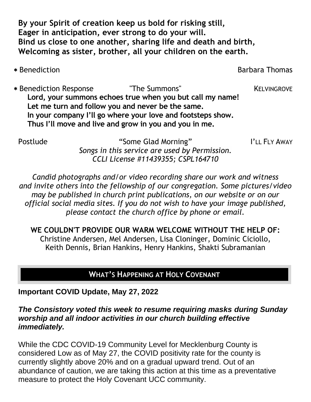**By your Spirit of creation keep us bold for risking still, Eager in anticipation, ever strong to do your will. Bind us close to one another, sharing life and death and birth, Welcoming as sister, brother, all your children on the earth.**

\* Benediction **Barbara Thomas** 

\* Benediction Response "The Summons" MELVINGROVE **Lord, your summons echoes true when you but call my name! Let me turn and follow you and never be the same. In your company I'll go where your love and footsteps show. Thus I'll move and live and grow in you and you in me.**

Postlude "Some Glad Morning" I'LL FLY AWAY *Songs in this service are used by Permission. CCLI License #11439355; CSPL164710*

*Candid photographs and/or video recording share our work and witness and invite others into the fellowship of our congregation. Some pictures/video may be published in church print publications, on our website or on our official social media sites. If you do not wish to have your image published,* 

*please contact the church office by phone or email.*

**WE COULDN'T PROVIDE OUR WARM WELCOME WITHOUT THE HELP OF:** Christine Andersen, Mel Andersen, Lisa Cloninger, Dominic Ciciollo, Keith Dennis, Brian Hankins, Henry Hankins, Shakti Subramanian

# **WHAT'S HAPPENING AT HOLY COVENANT**

**Important COVID Update, May 27, 2022**

### *The Consistory voted this week to resume requiring masks during Sunday worship and all indoor activities in our church building effective immediately.*

While the CDC COVID-19 Community Level for Mecklenburg County is considered Low as of May 27, the COVID positivity rate for the county is currently slightly above 20% and on a gradual upward trend. Out of an abundance of caution, we are taking this action at this time as a preventative measure to protect the Holy Covenant UCC community.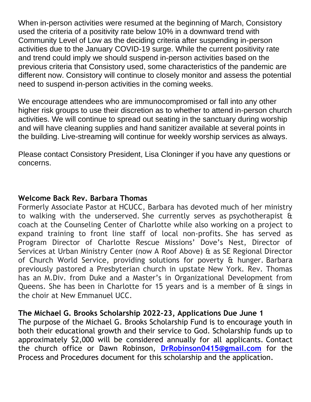When in-person activities were resumed at the beginning of March, Consistory used the criteria of a positivity rate below 10% in a downward trend with Community Level of Low as the deciding criteria after suspending in-person activities due to the January COVID-19 surge. While the current positivity rate and trend could imply we should suspend in-person activities based on the previous criteria that Consistory used, some characteristics of the pandemic are different now. Consistory will continue to closely monitor and assess the potential need to suspend in-person activities in the coming weeks.

We encourage attendees who are immunocompromised or fall into any other higher risk groups to use their discretion as to whether to attend in-person church activities. We will continue to spread out seating in the sanctuary during worship and will have cleaning supplies and hand sanitizer available at several points in the building. Live-streaming will continue for weekly worship services as always.

Please contact Consistory President, Lisa Cloninger if you have any questions or concerns.

#### **Welcome Back Rev. Barbara Thomas**

Formerly Associate Pastor at HCUCC, Barbara has devoted much of her ministry to walking with the underserved. She currently serves as psychotherapist & coach at the Counseling Center of Charlotte while also working on a project to expand training to front line staff of local non-profits. She has served as Program Director of Charlotte Rescue Missions' Dove's Nest, Director of Services at Urban Ministry Center (now A Roof Above) & as SE Regional Director of Church World Service, providing solutions for poverty & hunger. Barbara previously pastored a Presbyterian church in upstate New York. Rev. Thomas has an M.Div. from Duke and a Master's in Organizational Development from Queens. She has been in Charlotte for 15 years and is a member of & sings in the choir at New Emmanuel UCC.

#### **The Michael G. Brooks Scholarship 2022-23, Applications Due June 1**

The purpose of the Michael G. Brooks Scholarship Fund is to encourage youth in both their educational growth and their service to God. Scholarship funds up to approximately \$2,000 will be considered annually for all applicants. Contact the church office or Dawn Robinson, **[DrRobinson0415@gmail.com](mailto:DrRobinson0415@gmail.com)** for the Process and Procedures document for this scholarship and the application.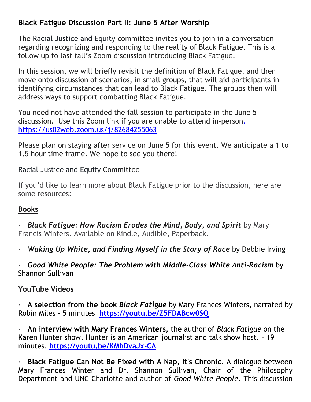# **Black Fatigue Discussion Part II: June 5 After Worship**

The Racial Justice and Equity committee invites you to join in a conversation regarding recognizing and responding to the reality of Black Fatigue. This is a follow up to last fall's Zoom discussion introducing Black Fatigue.

In this session, we will briefly revisit the definition of Black Fatigue, and then move onto discussion of scenarios, in small groups, that will aid participants in identifying circumstances that can lead to Black Fatigue. The groups then will address ways to support combatting Black Fatigue.

You need not have attended the fall session to participate in the June 5 discussion. Use this Zoom link if you are unable to attend in-person. <https://us02web.zoom.us/j/82684255063>

Please plan on staying after service on June 5 for this event. We anticipate a 1 to 1.5 hour time frame. We hope to see you there!

Racial Justice and Equity Committee

If you'd like to learn more about Black Fatigue prior to the discussion, here are some resources:

# **Books**

· *Black Fatigue: How Racism Erodes the Mind, Body, and Spirit* by Mary Francis Winters. Available on Kindle, Audible, Paperback.

· *Waking Up White, and Finding Myself in the Story of Race* by Debbie Irving

· *Good White People: The Problem with Middle-Class White Anti-Racism* by Shannon Sullivan

# **YouTube Videos**

· **A selection from the book** *Black Fatigue* by Mary Frances Winters, narrated by Robin Miles - 5 minutes **[https://youtu.be/Z5FDABcw0SQ](https://r20.rs6.net/tn.jsp?f=001KRg6On04gjlLyktGwjKgNKfzFLQ-Um6NbG2lztA_f-oB_Ohy2KXgrmdUvq5zPpKgeGandtRfLp3bObauOT-be9ClWhaSuWBDWa1g9Fs_bfz8AEhxpPJLU6Ubp7DFVgO3-1VpqpevIttGJxSfo3wfNVJTsXThmkAEER0ABw-di5epZ6ByCm2g1E8ZjVSxACwNjMHNvUCBzHzqQMmsKyt2yA==&c=Zu3HjXli5oG1mucDNs2-QyIoLpesAu_QuUZCfVVIzn6o7dxJM2iC5Q==&ch=Q_K8Ck0f2UgLK2qW-C4om2neX2s4XTjxjYpHobQBA3QOU03sR-8ZJg==)**

· **An interview with Mary Frances Winters,** the author of *Black Fatigue* on the Karen Hunter show. Hunter is an American journalist and talk show host. – 19 minutes. **[https://youtu.be/KMhDvaJx-CA](https://r20.rs6.net/tn.jsp?f=001KRg6On04gjlLyktGwjKgNKfzFLQ-Um6NbG2lztA_f-oB_Ohy2KXgrmdUvq5zPpKgaXtxooVpX67T6VMFA_fhTvVkAteDlElaggE3q-Dyr1zQBlQ7BhW-oqDAuzeUdUz6Wgiq1P_qaCn8FiWo-COHVK9rCamkNrlwEyQ3ROODBkBDq2YXIRMnJW-QkauuLY7c80HuvOlCi_1NwHBWxK-H-A==&c=Zu3HjXli5oG1mucDNs2-QyIoLpesAu_QuUZCfVVIzn6o7dxJM2iC5Q==&ch=Q_K8Ck0f2UgLK2qW-C4om2neX2s4XTjxjYpHobQBA3QOU03sR-8ZJg==)**

· **Black Fatigue Can Not Be Fixed with A Nap, It's Chronic.** A dialogue between Mary Frances Winter and Dr. Shannon Sullivan, Chair of the Philosophy Department and UNC Charlotte and author of *Good White People*. This discussion